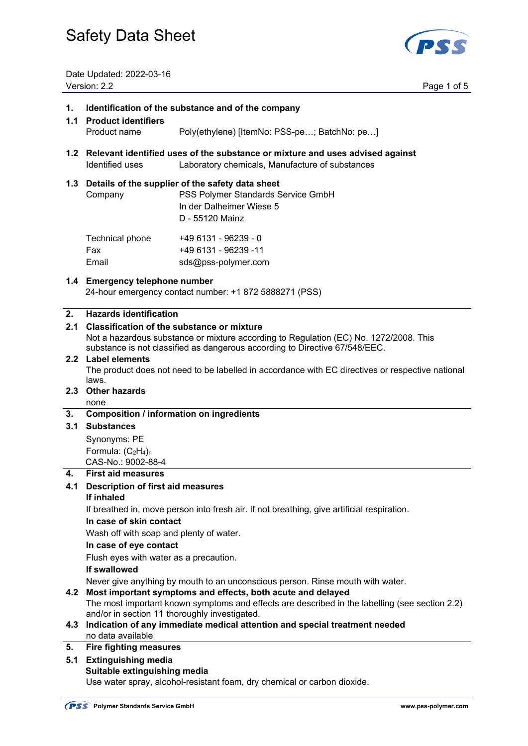

Date Updated: 2022-03-16 Version: 2.2 Page 1 of 5

## **1. Identification of the substance and of the company**

- **1.1 Product identifiers** Product name Poly(ethylene) [ItemNo: PSS-pe…; BatchNo: pe…]
- **1.2 Relevant identified uses of the substance or mixture and uses advised against**  Identified uses Laboratory chemicals, Manufacture of substances

## **1.3 Details of the supplier of the safety data sheet**

Company PSS Polymer Standards Service GmbH In der Dalheimer Wiese 5 D - 55120 Mainz  $T_{\text{eff}}$   $T_{\text{eff}}$   $T_{\text{eff}}$   $T_{\text{eff}}$   $T_{\text{eff}}$   $T_{\text{eff}}$   $T_{\text{eff}}$   $T_{\text{eff}}$   $T_{\text{eff}}$   $T_{\text{eff}}$   $T_{\text{eff}}$   $T_{\text{eff}}$   $T_{\text{eff}}$   $T_{\text{eff}}$   $T_{\text{eff}}$   $T_{\text{eff}}$   $T_{\text{eff}}$   $T_{\text{eff}}$   $T_{\text{eff}}$   $T_{\text{eff}}$   $T_{\text{eff}}$   $T_{\text{eff}}$ 

| Technical phone | +49 6131 - 96239 - 0 |
|-----------------|----------------------|
| Fax             | +49 6131 - 96239 -11 |
| Email           | sds@pss-polymer.com  |

## **1.4 Emergency telephone number**

24-hour emergency contact number: +1 872 5888271 (PSS)

## **2. Hazards identification**

## **2.1 Classification of the substance or mixture**

Not a hazardous substance or mixture according to Regulation (EC) No. 1272/2008. This substance is not classified as dangerous according to Directive 67/548/EEC.

## **2.2 Label elements**

The product does not need to be labelled in accordance with EC directives or respective national laws.

## **2.3 Other hazards**

none

## **3. Composition / information on ingredients**

## **3.1 Substances**

 Synonyms: PE Formula:  $(C_2H_4)$ <sub>n</sub> CAS-No.: 9002-88-4

## **4. First aid measures**

## **4.1 Description of first aid measures**

## **If inhaled**

If breathed in, move person into fresh air. If not breathing, give artificial respiration.

## **In case of skin contact**

Wash off with soap and plenty of water.

## **In case of eye contact**

Flush eyes with water as a precaution.

## **If swallowed**

Never give anything by mouth to an unconscious person. Rinse mouth with water.

## **4.2 Most important symptoms and effects, both acute and delayed**

The most important known symptoms and effects are described in the labelling (see section 2.2) and/or in section 11 thoroughly investigated.

#### **4.3 Indication of any immediate medical attention and special treatment needed**  no data available

## **5. Fire fighting measures**

#### **5.1 Extinguishing media Suitable extinguishing media**

Use water spray, alcohol-resistant foam, dry chemical or carbon dioxide.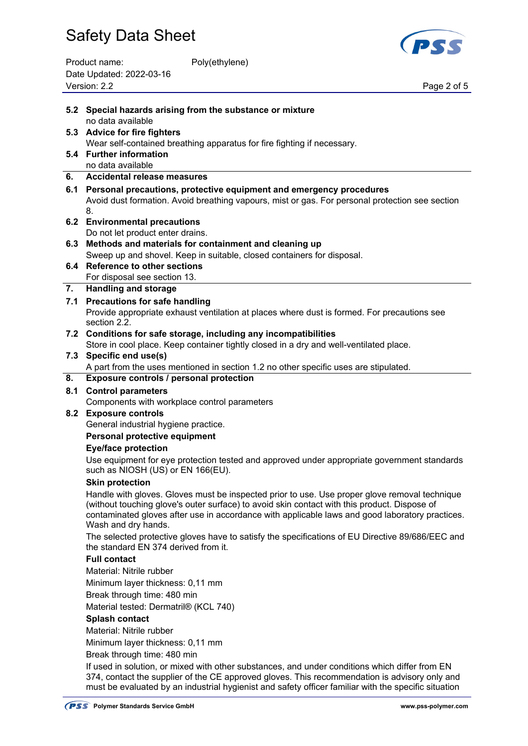| Product name:            | Poly(ethylene) |
|--------------------------|----------------|
| Date Updated: 2022-03-16 |                |
| Version: 2.2             |                |



Page 2 of 5

|     | 5.2 Special hazards arising from the substance or mixture                                                                                                                                                                                                                                                               |
|-----|-------------------------------------------------------------------------------------------------------------------------------------------------------------------------------------------------------------------------------------------------------------------------------------------------------------------------|
|     | no data available                                                                                                                                                                                                                                                                                                       |
|     | 5.3 Advice for fire fighters                                                                                                                                                                                                                                                                                            |
|     | Wear self-contained breathing apparatus for fire fighting if necessary.                                                                                                                                                                                                                                                 |
|     | 5.4 Further information                                                                                                                                                                                                                                                                                                 |
|     | no data available                                                                                                                                                                                                                                                                                                       |
| 6.  | <b>Accidental release measures</b>                                                                                                                                                                                                                                                                                      |
|     | 6.1 Personal precautions, protective equipment and emergency procedures                                                                                                                                                                                                                                                 |
|     | Avoid dust formation. Avoid breathing vapours, mist or gas. For personal protection see section                                                                                                                                                                                                                         |
|     | 8.                                                                                                                                                                                                                                                                                                                      |
|     | 6.2 Environmental precautions                                                                                                                                                                                                                                                                                           |
|     | Do not let product enter drains.                                                                                                                                                                                                                                                                                        |
|     | 6.3 Methods and materials for containment and cleaning up                                                                                                                                                                                                                                                               |
|     | Sweep up and shovel. Keep in suitable, closed containers for disposal.                                                                                                                                                                                                                                                  |
|     | 6.4 Reference to other sections<br>For disposal see section 13.                                                                                                                                                                                                                                                         |
| 7.  | <b>Handling and storage</b>                                                                                                                                                                                                                                                                                             |
|     | 7.1 Precautions for safe handling                                                                                                                                                                                                                                                                                       |
|     | Provide appropriate exhaust ventilation at places where dust is formed. For precautions see                                                                                                                                                                                                                             |
|     | section 2.2.                                                                                                                                                                                                                                                                                                            |
|     | 7.2 Conditions for safe storage, including any incompatibilities                                                                                                                                                                                                                                                        |
|     | Store in cool place. Keep container tightly closed in a dry and well-ventilated place.                                                                                                                                                                                                                                  |
|     | 7.3 Specific end use(s)                                                                                                                                                                                                                                                                                                 |
|     | A part from the uses mentioned in section 1.2 no other specific uses are stipulated.                                                                                                                                                                                                                                    |
| 8.  | Exposure controls / personal protection                                                                                                                                                                                                                                                                                 |
| 8.1 | <b>Control parameters</b>                                                                                                                                                                                                                                                                                               |
|     | Components with workplace control parameters                                                                                                                                                                                                                                                                            |
|     | 8.2 Exposure controls                                                                                                                                                                                                                                                                                                   |
|     | General industrial hygiene practice.                                                                                                                                                                                                                                                                                    |
|     | Personal protective equipment                                                                                                                                                                                                                                                                                           |
|     | <b>Eye/face protection</b>                                                                                                                                                                                                                                                                                              |
|     | Use equipment for eye protection tested and approved under appropriate government standards<br>such as NIOSH (US) or EN 166(EU).                                                                                                                                                                                        |
|     | <b>Skin protection</b>                                                                                                                                                                                                                                                                                                  |
|     | Handle with gloves. Gloves must be inspected prior to use. Use proper glove removal technique<br>(without touching glove's outer surface) to avoid skin contact with this product. Dispose of<br>contaminated gloves after use in accordance with applicable laws and good laboratory practices.<br>Wash and dry hands. |
|     | The selected protective gloves have to satisfy the specifications of EU Directive 89/686/EEC and                                                                                                                                                                                                                        |
|     | the standard EN 374 derived from it.                                                                                                                                                                                                                                                                                    |
|     | <b>Full contact</b>                                                                                                                                                                                                                                                                                                     |
|     | Material: Nitrile rubber                                                                                                                                                                                                                                                                                                |
|     | Minimum layer thickness: 0,11 mm                                                                                                                                                                                                                                                                                        |
|     | Break through time: 480 min                                                                                                                                                                                                                                                                                             |
|     | Material tested: Dermatril® (KCL 740)                                                                                                                                                                                                                                                                                   |
|     | <b>Splash contact</b>                                                                                                                                                                                                                                                                                                   |
|     | Material: Nitrile rubber                                                                                                                                                                                                                                                                                                |
|     | Minimum layer thickness: 0,11 mm                                                                                                                                                                                                                                                                                        |
|     | Break through time: 480 min                                                                                                                                                                                                                                                                                             |
|     | If used in solution, or mixed with other substances, and under conditions which differ from EN<br>374, contact the supplier of the CE approved gloves. This recommendation is advisory only and<br>must be evaluated by an industrial hygienist and safety officer familiar with the specific situation                 |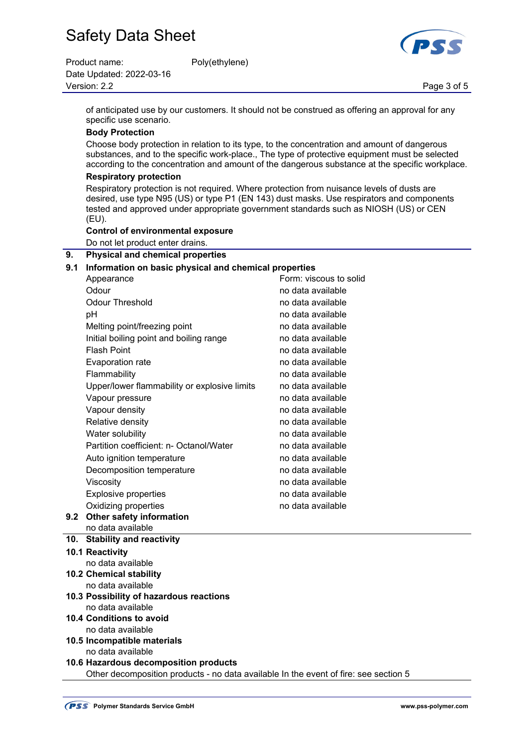| Product name:            | Poly(ethylene) |             |
|--------------------------|----------------|-------------|
| Date Updated: 2022-03-16 |                |             |
| Version: 2.2             |                | Page 3 of 5 |

 of anticipated use by our customers. It should not be construed as offering an approval for any specific use scenario.

## **Body Protection**

 Choose body protection in relation to its type, to the concentration and amount of dangerous substances, and to the specific work-place., The type of protective equipment must be selected according to the concentration and amount of the dangerous substance at the specific workplace.

## **Respiratory protection**

 Respiratory protection is not required. Where protection from nuisance levels of dusts are desired, use type N95 (US) or type P1 (EN 143) dust masks. Use respirators and components tested and approved under appropriate government standards such as NIOSH (US) or CEN (EU).

## **Control of environmental exposure**

Do not let product enter drains.

## **9. Physical and chemical properties**

## **9.1 Information on basic physical and chemical properties**

|     | Appearance                                   | Form: viscous to solid |
|-----|----------------------------------------------|------------------------|
|     | Odour                                        | no data available      |
|     | <b>Odour Threshold</b>                       | no data available      |
|     | рH                                           | no data available      |
|     | Melting point/freezing point                 | no data available      |
|     | Initial boiling point and boiling range      | no data available      |
|     | <b>Flash Point</b>                           | no data available      |
|     | Evaporation rate                             | no data available      |
|     | Flammability                                 | no data available      |
|     | Upper/lower flammability or explosive limits | no data available      |
|     | Vapour pressure                              | no data available      |
|     | Vapour density                               | no data available      |
|     | Relative density                             | no data available      |
|     | Water solubility                             | no data available      |
|     | Partition coefficient: n- Octanol/Water      | no data available      |
|     | Auto ignition temperature                    | no data available      |
|     | Decomposition temperature                    | no data available      |
|     | Viscosity                                    | no data available      |
|     | <b>Explosive properties</b>                  | no data available      |
|     | Oxidizing properties                         | no data available      |
| 9.2 | Other safety information                     |                        |
|     | no data available                            |                        |
| 10. | <b>Stability and reactivity</b>              |                        |
|     | 10.1 Reactivity                              |                        |
|     | no data available                            |                        |
|     | <b>10.2 Chemical stability</b>               |                        |
|     | no data available                            |                        |

## **10.3 Possibility of hazardous reactions**  no data available

- **10.4 Conditions to avoid**  no data available
- **10.5 Incompatible materials** 
	- no data available

## **10.6 Hazardous decomposition products**  Other decomposition products - no data available In the event of fire: see section 5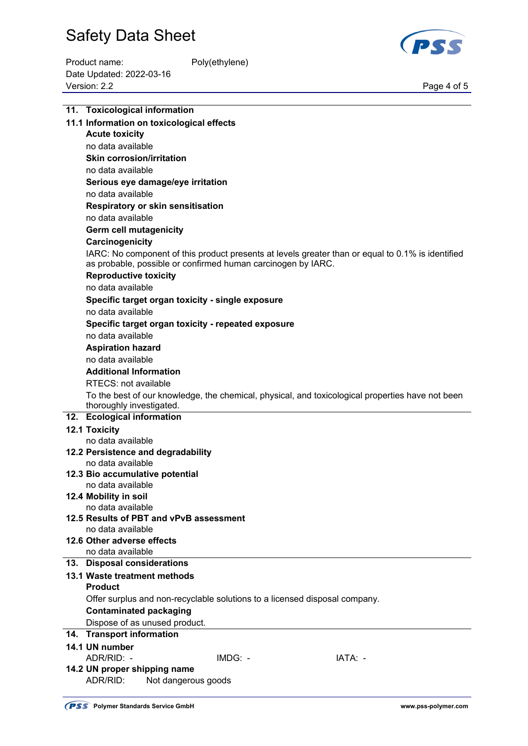

Product name: Poly(ethylene) Date Updated: 2022-03-16 Page 4 of 5<br>Version: 2.2 Page 4 of 5

| 11. Toxicological information                                              |         |                                                                                                   |
|----------------------------------------------------------------------------|---------|---------------------------------------------------------------------------------------------------|
| 11.1 Information on toxicological effects                                  |         |                                                                                                   |
| <b>Acute toxicity</b>                                                      |         |                                                                                                   |
| no data available                                                          |         |                                                                                                   |
| <b>Skin corrosion/irritation</b>                                           |         |                                                                                                   |
| no data available                                                          |         |                                                                                                   |
| Serious eye damage/eye irritation                                          |         |                                                                                                   |
| no data available                                                          |         |                                                                                                   |
| Respiratory or skin sensitisation                                          |         |                                                                                                   |
| no data available                                                          |         |                                                                                                   |
| <b>Germ cell mutagenicity</b>                                              |         |                                                                                                   |
| Carcinogenicity                                                            |         |                                                                                                   |
|                                                                            |         | IARC: No component of this product presents at levels greater than or equal to 0.1% is identified |
| as probable, possible or confirmed human carcinogen by IARC.               |         |                                                                                                   |
| <b>Reproductive toxicity</b>                                               |         |                                                                                                   |
| no data available                                                          |         |                                                                                                   |
| Specific target organ toxicity - single exposure<br>no data available      |         |                                                                                                   |
|                                                                            |         |                                                                                                   |
| Specific target organ toxicity - repeated exposure<br>no data available    |         |                                                                                                   |
|                                                                            |         |                                                                                                   |
| <b>Aspiration hazard</b><br>no data available                              |         |                                                                                                   |
| <b>Additional Information</b>                                              |         |                                                                                                   |
| RTECS: not available                                                       |         |                                                                                                   |
|                                                                            |         | To the best of our knowledge, the chemical, physical, and toxicological properties have not been  |
| thoroughly investigated.                                                   |         |                                                                                                   |
| 12. Ecological information                                                 |         |                                                                                                   |
| 12.1 Toxicity                                                              |         |                                                                                                   |
| no data available                                                          |         |                                                                                                   |
| 12.2 Persistence and degradability                                         |         |                                                                                                   |
| no data available                                                          |         |                                                                                                   |
| 12.3 Bio accumulative potential                                            |         |                                                                                                   |
| no data available                                                          |         |                                                                                                   |
| 12.4 Mobility in soil                                                      |         |                                                                                                   |
| no data available<br>12.5 Results of PBT and vPvB assessment               |         |                                                                                                   |
| no data available                                                          |         |                                                                                                   |
| 12.6 Other adverse effects                                                 |         |                                                                                                   |
| no data available                                                          |         |                                                                                                   |
| 13. Disposal considerations                                                |         |                                                                                                   |
| 13.1 Waste treatment methods                                               |         |                                                                                                   |
| <b>Product</b>                                                             |         |                                                                                                   |
| Offer surplus and non-recyclable solutions to a licensed disposal company. |         |                                                                                                   |
| <b>Contaminated packaging</b>                                              |         |                                                                                                   |
| Dispose of as unused product.                                              |         |                                                                                                   |
| 14. Transport information                                                  |         |                                                                                                   |
| 14.1 UN number                                                             |         |                                                                                                   |
| ADR/RID: -                                                                 | IMDG: - | IATA: -                                                                                           |
| 14.2 UN proper shipping name                                               |         |                                                                                                   |
| ADR/RID:<br>Not dangerous goods                                            |         |                                                                                                   |